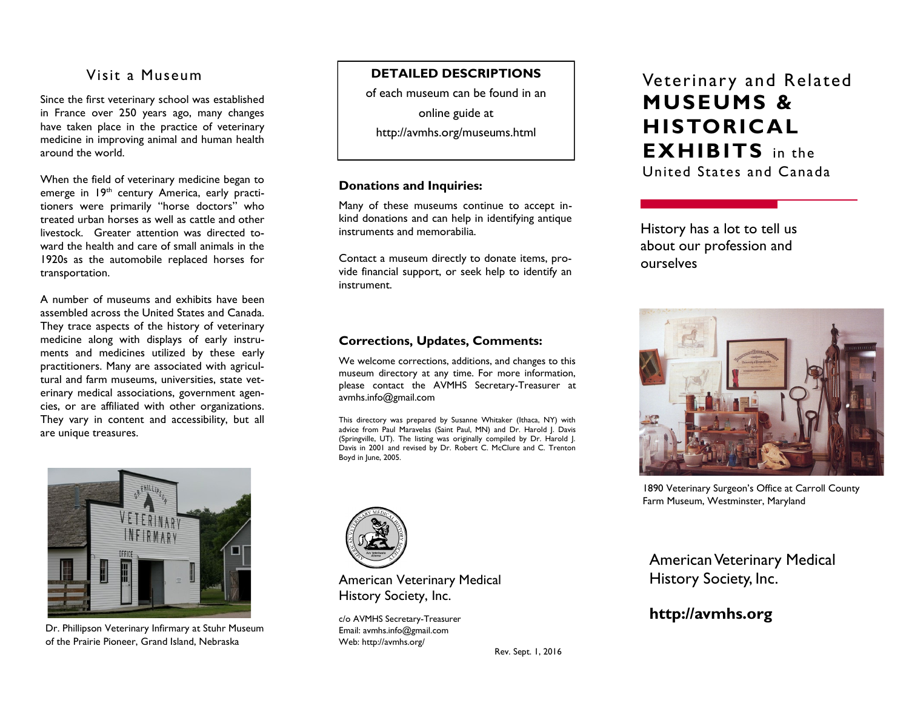# Visit a Museum

Since the first veterinary school was established in France over 250 years ago, many changes have taken place in the practice of veterinary medicine in improving animal and human health around the world.

When the field of veterinary medicine began to emerge in 19<sup>th</sup> century America, early practitioners were primarily "horse doctors" who treated urban horses as well as cattle and other livestock. Greater attention was directed toward the health and care of small animals in the 1920s as the automobile replaced horses for transportation.

A number of museums and exhibits have been assembled across the United States and Canada. They trace aspects of the history of veterinary medicine along with displays of early instruments and medicines utilized by these early practitioners. Many are associated with agricultural and farm museums, universities, state veterinary medical associations, government agencies, or are affiliated with other organizations. They vary in content and accessibility, but all are unique treasures.



Dr. Phillipson Veterinary Infirmary at Stuhr Museum of the Prairie Pioneer, Grand Island, Nebraska

### **DETAILED DESCRIPTIONS**

of each museum can be found in an

online guide at

http://avmhs.org/museums.html

#### **Donations and Inquiries:**

Many of these museums continue to accept inkind donations and can help in identifying antique instruments and memorabilia.

Contact a museum directly to donate items, provide financial support, or seek help to identify an instrument.

### **Corrections, Updates, Comments:**

We welcome corrections, additions, and changes to this museum directory at any time. For more information, please contact the AVMHS Secretary-Treasurer at avmhs.info@gmail.com

This directory was prepared by Susanne Whitaker (Ithaca, NY) with advice from Paul Maravelas (Saint Paul, MN) and Dr. Harold J. Davis (Springville, UT). The listing was originally compiled by Dr. Harold J. Davis in 2001 and revised by Dr. Robert C. McClure and C. Trenton Boyd in June, 2005.

Rev. Sept. 1, 2016



American Veterinary Medical History Society, Inc.

c/o AVMHS Secretary-Treasurer Email: avmhs.info@gmail.com Web: http://avmhs.org/

# Veterinary and Related **MUSEUMS & HISTORICAL EXHIBITS** in the United States and Canada

History has a lot to tell us about our profession and ourselves



1890 Veterinary Surgeon's Office at Carroll County Farm Museum, Westminster, Maryland

American Veterinary Medical History Society, Inc.

# **http://avmhs.org**